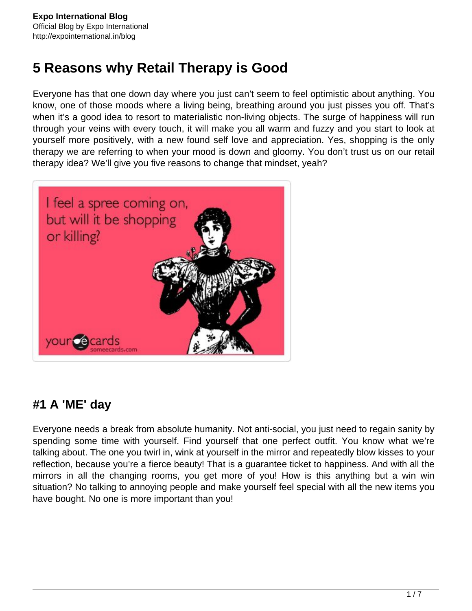# **5 Reasons why Retail Therapy is Good**

Everyone has that one down day where you just can't seem to feel optimistic about anything. You know, one of those moods where a living being, breathing around you just pisses you off. That's when it's a good idea to resort to materialistic non-living objects. The surge of happiness will run through your veins with every touch, it will make you all warm and fuzzy and you start to look at yourself more positively, with a new found self love and appreciation. Yes, shopping is the only therapy we are referring to when your mood is down and gloomy. You don't trust us on our retail therapy idea? We'll give you five reasons to change that mindset, yeah?



### **#1 A 'ME' day**

Everyone needs a break from absolute humanity. Not anti-social, you just need to regain sanity by spending some time with yourself. Find yourself that one perfect outfit. You know what we're talking about. The one you twirl in, wink at yourself in the mirror and repeatedly blow kisses to your reflection, because you're a fierce beauty! That is a guarantee ticket to happiness. And with all the mirrors in all the changing rooms, you get more of you! How is this anything but a win win situation? No talking to annoying people and make yourself feel special with all the new items you have bought. No one is more important than you!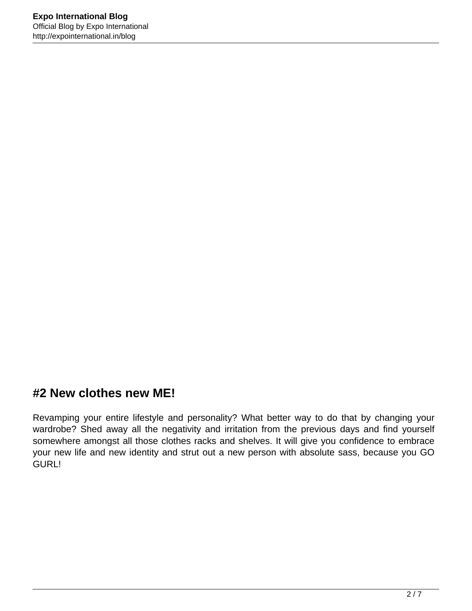#### **#2 New clothes new ME!**

Revamping your entire lifestyle and personality? What better way to do that by changing your wardrobe? Shed away all the negativity and irritation from the previous days and find yourself somewhere amongst all those clothes racks and shelves. It will give you confidence to embrace your new life and new identity and strut out a new person with absolute sass, because you GO GURL!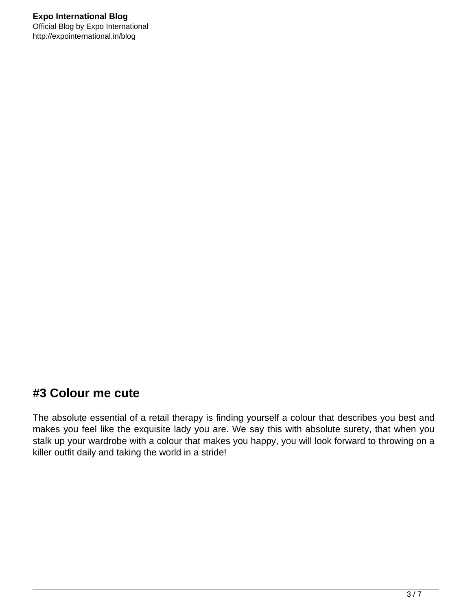#### **#3 Colour me cute**

The absolute essential of a retail therapy is finding yourself a colour that describes you best and makes you feel like the exquisite lady you are. We say this with absolute surety, that when you stalk up your wardrobe with a colour that makes you happy, you will look forward to throwing on a killer outfit daily and taking the world in a stride!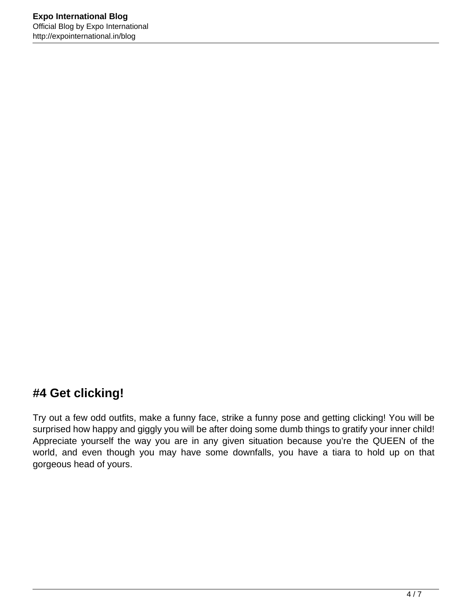## **#4 Get clicking!**

Try out a few odd outfits, make a funny face, strike a funny pose and getting clicking! You will be surprised how happy and giggly you will be after doing some dumb things to gratify your inner child! Appreciate yourself the way you are in any given situation because you're the QUEEN of the world, and even though you may have some downfalls, you have a tiara to hold up on that gorgeous head of yours.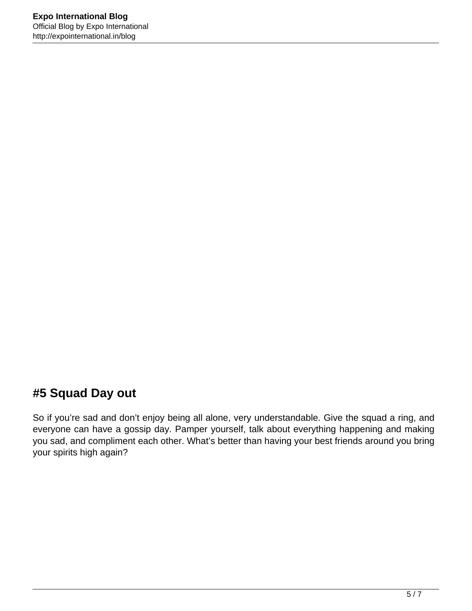## **#5 Squad Day out**

So if you're sad and don't enjoy being all alone, very understandable. Give the squad a ring, and everyone can have a gossip day. Pamper yourself, talk about everything happening and making you sad, and compliment each other. What's better than having your best friends around you bring your spirits high again?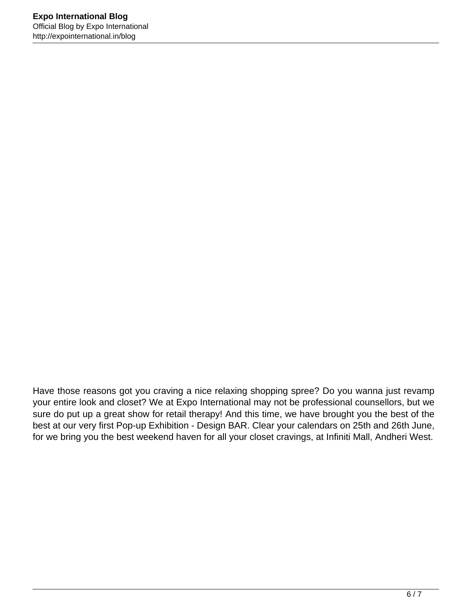Have those reasons got you craving a nice relaxing shopping spree? Do you wanna just revamp your entire look and closet? We at Expo International may not be professional counsellors, but we sure do put up a great show for retail therapy! And this time, we have brought you the best of the best at our very first Pop-up Exhibition - Design BAR. Clear your calendars on 25th and 26th June, for we bring you the best weekend haven for all your closet cravings, at Infiniti Mall, Andheri West.